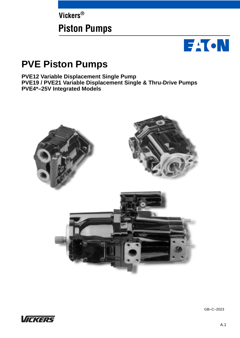**Vickers®**

# **Piston Pumps**



# **PVE Piston Pumps**

**PVE12 Variable Displacement Single Pump PVE19 / PVE21 Variable Displacement Single & Thru-Drive Pumps PVE4\*–25V Integrated Models**





GB–C–2023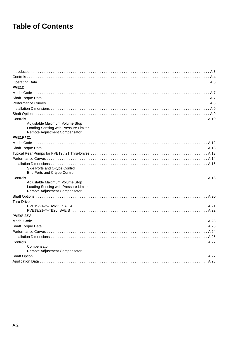# **Table of Contents**

| <b>PVE12</b>                                                           |
|------------------------------------------------------------------------|
|                                                                        |
|                                                                        |
|                                                                        |
|                                                                        |
|                                                                        |
|                                                                        |
| Adjustable Maximum Volume Stop                                         |
| Loading Sensing with Pressure Limiter                                  |
| Remote Adjustment Compensator                                          |
| <b>PVE19/21</b>                                                        |
|                                                                        |
|                                                                        |
|                                                                        |
|                                                                        |
|                                                                        |
| Side Ports and C-type Control                                          |
| End Ports and C-type Control                                           |
|                                                                        |
| Adjustable Maximum Volume Stop                                         |
| Loading Sensing with Pressure Limiter<br>Remote Adjustment Compensator |
|                                                                        |
| Thru-Drive                                                             |
|                                                                        |
|                                                                        |
| <b>PVE4*-25V</b>                                                       |
|                                                                        |
|                                                                        |
|                                                                        |
|                                                                        |
|                                                                        |
| Compensator                                                            |
| Remote Adjustment Compensator                                          |
|                                                                        |
|                                                                        |
|                                                                        |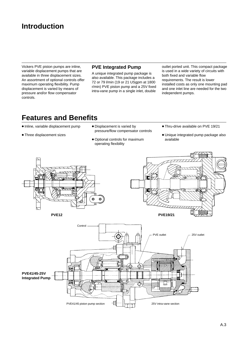# <span id="page-2-0"></span>**Introduction**

Vickers PVE piston pumps are inline, variable displacement pumps that are available in three displacement sizes. An assortment of optional controls offer maximum operating flexibility. Pump displacement is varied by means of pressure and/or flow compensator controls.

### **PVE Integrated Pump**

A unique integrated pump package is also available. This package includes a 72 or 79 l/min (19 or 21 USgpm at 1800 r/min) PVE piston pump and a 25V fixed intra-vane pump in a single inlet, double

outlet ported unit. This compact package is used in a wide variety of circuits with both fixed and variable flow requirements. The result is lower installed costs as only one mounting pad and one inlet line are needed for the two independent pumps.

# **Features and Benefits**

- $\bullet$  Inline, variable displacement pump
- Three displacement sizes
- Displacement is varied by pressure/flow compensator controls
- Optional controls for maximum operating flexibility
- Thru-drive available on PVE 19/21
- Unique integrated pump package also available





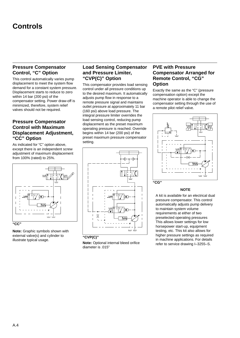# <span id="page-3-0"></span>**Controls**

# **Pressure Compensator Control, "C" Option**

This control automatically varies pump displacement to meet the system flow demand for a constant system pressure. Displacement starts to reduce to zero within 14 bar (200 psi) of the compensator setting. Power draw-off is minimized, therefore, system relief valves should not be required.

# **Pressure Compensator Control with Maximum Displacement Adjustment, "CC" Option**

As indicated for "C" option above, except there is an independent screw adjustment of maximum displacement from 100% (rated) to 25%.



**Note:** Graphic symbols shown with external valve(s) and cylinder to illustrate typical usage.

# **Load Sensing Compensator and Pressure Limiter, "CVP(C)" Option**

This compensator provides load sensing control under all pressure conditions up to the desired maximum. It automatically adjusts pump flow in response to a remote pressure signal and maintains outlet pressure at approximately 11 bar (160 psi) above load pressure. The integral pressure limiter overrides the load sensing control, reducing pump displacement as the preset maximum operating pressure is reached. Override begins within 14 bar (200 psi) of the preset maximum pressure compensator setting.





**Note:** Optional internal bleed orifice diameter is .015"

### **PVE with Pressure Compensator Arranged for Remote Control, "CG" Option**

Exactly the same as the "C" (pressure compensation option) except the machine operator is able to change the compensator setting through the use of a remote pilot relief valve.



#### **NOTE**

A kit is available for an electrical dual pressure compensator. This control automatically adjusts pump delivery to maintain system volume requirements at either of two preselected operating pressures This allows lower settings for low horsepower start-up, equipment testing, etc. This kit also allows for higher pressure settings as required in machine applications. For details refer to service drawing I–3255–S.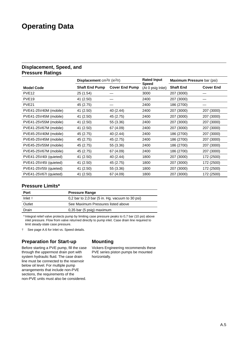# <span id="page-4-0"></span>**Operating Data**

### **Displacement, Speed, and Pressure Ratings**

|                        | <b>Rated Input</b><br><b>Displacement</b> cm <sup>3</sup> /r (in <sup>3</sup> /r)<br><b>Speed</b><br><b>Shaft End Pump</b><br><b>Cover End Pump</b> |           |                   | Maximum Pressure bar (psi) |                  |
|------------------------|-----------------------------------------------------------------------------------------------------------------------------------------------------|-----------|-------------------|----------------------------|------------------|
| <b>Model Code</b>      |                                                                                                                                                     |           | (At 0 psig Inlet) | <b>Shaft End</b>           | <b>Cover End</b> |
| PVE <sub>12</sub>      | 25 (1.54)                                                                                                                                           |           | 3000              | 207 (3000)                 |                  |
| PVE <sub>19</sub>      | 41 (2.50)                                                                                                                                           |           | 2400              | 207 (3000)                 |                  |
| PVE <sub>21</sub>      | 45 (2.75)                                                                                                                                           |           | 2400              | 186 (2700)                 |                  |
| PVE41-25V40M (mobile)  | 41 (2.50)                                                                                                                                           | 40 (2.44) | 2400              | 207 (3000)                 | 207 (3000)       |
| PVE41-25V45M (mobile)  | 41 (2.50)                                                                                                                                           | 45 (2.75) | 2400              | 207 (3000)                 | 207 (3000)       |
| PVE41-25V55M (mobile)  | 41 (2.50)                                                                                                                                           | 55 (3.36) | 2400              | 207 (3000)                 | 207 (3000)       |
| PVE41-25V67M (mobile)  | 41 (2.50)                                                                                                                                           | 67 (4.09) | 2400              | 207 (3000)                 | 207 (3000)       |
| PVE45-25V40M (mobile)  | 45 (2.75)                                                                                                                                           | 40 (2.44) | 2400              | 186 (2700)                 | 207 (3000)       |
| PVE45-25V45M (mobile)  | 45 (2.75)                                                                                                                                           | 45 (2.75) | 2400              | 186 (2700)                 | 207 (3000)       |
| PVE45-25V55M (mobile)  | 45 (2.75)                                                                                                                                           | 55 (3.36) | 2400              | 186 (2700)                 | 207 (3000)       |
| PVE45-25V67M (mobile)  | 45 (2.75)                                                                                                                                           | 67 (4.09) | 2400              | 186 (2700)                 | 207 (3000)       |
| PVE41-25V40I (quieted) | 41 (2.50)                                                                                                                                           | 40 (2.44) | 1800              | 207 (3000)                 | 172 (2500)       |
| PVE41-25V45I (quieted) | 41 (2.50)                                                                                                                                           | 45 (2.75) | 1800              | 207 (3000)                 | 172 (2500)       |
| PVE41-25V55I (quieted) | 41 (2.50)                                                                                                                                           | 55 (3.36) | 1800              | 207 (3000)                 | 172 (2500)       |
| PVE41-25V67I (quieted) | 41 (2.50)                                                                                                                                           | 67 (4.09) | 1800              | 207 (3000)                 | 172 (2500)       |

# **Pressure Limits\***

| Port            | <b>Pressure Range</b>                             |
|-----------------|---------------------------------------------------|
| Inlet $\dagger$ | $0,2$ bar to 2,0 bar (5 in. Hg. vacuum to 30 psi) |
| Outlet          | See Maximum Pressures listed above                |
| Drain           | 0,35 bar (5 psig) maximum                         |

\* Integral relief valve protects pump by limiting case pressure peaks to 0,7 bar (10 psi) above inlet pressure. Flow from valve returned directly to pump inlet. Case drain line required to limit steady-state case pressure.

 $\ddot{\dagger}$ See page A.6 for Inlet vs. Speed details.

# **Preparation for Start-up**

Before starting a PVE pump, fill the case through the uppermost drain port with system hydraulic fluid. The case drain line must be connected to the reservoir below oil level. For multiple pump arrangements that include non-PVE sections, the requirements of the non-PVE units must also be considered.

# **Mounting**

Vickers Engineering recommends these PVE series piston pumps be mounted horizontally.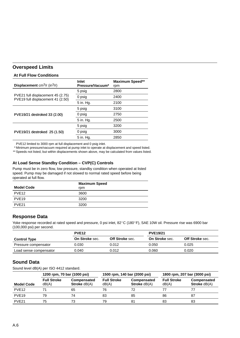# **Overspeed Limits**

#### **At Full Flow Conditions**

| <b>Displacement</b> cm <sup>3</sup> /r (in <sup>3</sup> /r)            | Inlet<br>Pressure/Vacuum* | <b>Maximum Speed**</b><br>rpm |
|------------------------------------------------------------------------|---------------------------|-------------------------------|
|                                                                        | 5 psig                    | 2800                          |
| PVE21 full displacement 45 (2.75)<br>PVE19 full displacement 41 (2.50) | 0 psig                    | 2400                          |
|                                                                        | 5 in. Hg.                 | 2100                          |
|                                                                        | 5 psig                    | 3100                          |
| PVE19/21 destroked 33 (2.00)                                           | 0 psig                    | 2750                          |
|                                                                        | 5 in. Hg.                 | 2500                          |
|                                                                        | 5 psig                    | 3200                          |
| PVE19/21 destroked 25 (1.50)                                           | 0 psig                    | 3000                          |
|                                                                        | 5 in. Hg.                 | 2850                          |

PVE12 limited to 3000 rpm at full displacement and 0 psig inlet.

\* Minimum pressure/vacuum required at pump inlet to operate at displacement and speed listed.

\*\* Speeds not listed, but within displacements shown above, may be calculated from values listed.

### **At Load Sense Standby Condition – CVP(C) Controls**

Pump must be in zero flow, low pressure, standby condition when operated at listed speed. Pump may be damaged if not slowed to normal rated speed before being operated at full flow.

| <b>Model Code</b> | <b>Maximum Speed</b><br>rpm |
|-------------------|-----------------------------|
| PVE <sub>12</sub> | 3600                        |
| PVE <sub>19</sub> | 3200                        |
| PVF <sub>21</sub> | 3200                        |

### **Response Data**

Yoke response recorded at rated speed and pressure, 0 psi inlet, 82°C (180°F), SAE 10W oil. Pressure rise was 6900 bar (100,000 psi) per second.

|                        | PVE <sub>12</sub>     |                        | <b>PVE19/21</b>       |                        |
|------------------------|-----------------------|------------------------|-----------------------|------------------------|
| <b>Control Type</b>    | <b>On Stroke sec.</b> | <b>Off Stroke</b> sec. | <b>On Stroke sec.</b> | <b>Off Stroke</b> sec. |
| Pressure compensator   | 0.030                 | 0.012                  | 0.050                 | 0.025                  |
| Load sense compensator | 0.040                 | 0.012                  | 0.060                 | 0.020                  |

# **Sound Data**

Sound level dB(A) per ISO 4412 standard.

| 1200 rpm, 70 bar (1000 psi) |                             | 1500 rpm, 140 bar (2000 psi)         |                             | 1800 rpm, 207 bar (3000 psi)       |                             |                                      |
|-----------------------------|-----------------------------|--------------------------------------|-----------------------------|------------------------------------|-----------------------------|--------------------------------------|
| <b>Model Code</b>           | <b>Full Stroke</b><br>dB(A) | Compensated<br><b>Stroke</b> $dB(A)$ | <b>Full Stroke</b><br>dB(A) | Compensated<br><b>Stroke dB(A)</b> | <b>Full Stroke</b><br>dB(A) | Compensated<br><b>Stroke</b> $dB(A)$ |
| PVE <sub>12</sub>           |                             | 65                                   | 76                          |                                    |                             |                                      |
| PVE <sub>19</sub>           | 79                          | 74                                   | 83                          | 85                                 | 86                          | 87                                   |
| PVF <sub>21</sub>           | 75                          | 73                                   | 79                          |                                    | 83                          | 83                                   |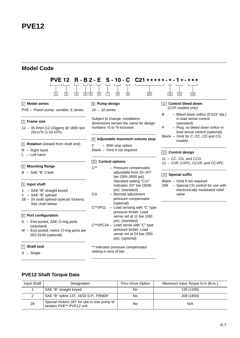# <span id="page-6-0"></span>**Model Code**

| <b>PVE 12</b>                                                                                                    | R-B2-E S-10-C C21 *****-*-1 *-***                                                                                                    |                                                                                                                                                          |
|------------------------------------------------------------------------------------------------------------------|--------------------------------------------------------------------------------------------------------------------------------------|----------------------------------------------------------------------------------------------------------------------------------------------------------|
| $\sqrt{3}$<br>$\boxed{4}$ $\boxed{5}$<br> 2 <br>$\overline{1}$                                                   | $\sqrt{9}$<br>$\boxed{6}$<br>$\vert 7 \vert$<br>$\sqrt{8}$<br>10                                                                     | 11 <br>12<br> 13                                                                                                                                         |
| 1 Model series                                                                                                   | $\boxed{8}$ Pump design                                                                                                              | 11 Control bleed down                                                                                                                                    |
| PVE - Piston pump, variable, E series                                                                            | $10 - 10$ series                                                                                                                     | (CVP models only)                                                                                                                                        |
| $\boxed{2}$ Frame size<br>12 - 45 l/min (12 USgpm) @ 1800 rpm<br>25cm <sup>3</sup> /r (1.54 in <sup>3</sup> /r)  | Subject to change. Installation<br>dimensions remain the same for design<br>numbers *0 to *9 inclusive.                              | B<br>- Bleed down orifice (0.015" dia.)<br>in load sense control<br>(standard)<br>- Plug, no bleed down orifice in<br>P<br>load sense control (optional) |
| 3 Rotation (viewed from shaft end)                                                                               | 9 Adjustable maximum volume stop<br>С<br>- With stop option                                                                          | Blank - Omit for C, CC, CD and CG<br>models                                                                                                              |
| $R -$ Right hand<br>$L - Left$ hand                                                                              | Blank - Omit if not required                                                                                                         | 12 Control design                                                                                                                                        |
| $\sqrt{4}$ Mounting flange                                                                                       | 10 Control options<br>$C^{**}$<br>- Pressure compensator,                                                                            | 11 - CC, CG, and CCG<br>12 - CVP, CVPC, CCVP, and CCVPC                                                                                                  |
| $B - SAE "B" 2-bolt$                                                                                             | adjustable from 20-207<br>bar (300-3000 psi).                                                                                        | 13 Special suffix                                                                                                                                        |
| 5 Input shaft                                                                                                    | Standard setting "C21"<br>indicates 207 bar (3000                                                                                    | Blank - Omit if not required<br>298 - Special CG control for use with                                                                                    |
| 1 - SAE "B" straight keyed<br>2 - SAE "B" splined<br>28 - 26 tooth splined (special Vickers).<br>See chart below | psi). (standard)<br>CG<br>- Remote adjustment<br>pressure compensator<br>(optional)<br>$C^{**}V$ P11<br>- Load sensing with "C" type | electronically modulated relief<br>valve                                                                                                                 |
| 6 Port configuration                                                                                             | pressure limiter. Load<br>sense set at 11 bar (160                                                                                   |                                                                                                                                                          |
| $E - End$ ported, SAE O-ring ports<br>(standard)                                                                 | psi). (standard)<br>C**VPC24 - Load sense with "C" type<br>pressure limiter. Load                                                    |                                                                                                                                                          |
| M - End ported, metric O-ring ports per<br>ISO 6149 (optional)                                                   | sense set at 24 bar (350<br>psi). (optional)                                                                                         |                                                                                                                                                          |
| $\boxed{7}$ Shaft seal                                                                                           | ** indicates pressure compensator                                                                                                    |                                                                                                                                                          |
| $S -$ Single                                                                                                     | setting in tens of bar.                                                                                                              |                                                                                                                                                          |

# **PVE12 Shaft Torque Data**

| Input Shaft | Designation                                                            | Thru-Drive Option | Maximum Input Torque N.m (lb.in.) |
|-------------|------------------------------------------------------------------------|-------------------|-----------------------------------|
|             | SAE "B" straight keyed                                                 | No                | 135 (1200)                        |
|             | SAE "B" spline 13T, 16/32 D.P., FRMDF                                  | No.               | 208 (1850)                        |
| 28          | Special Vickers 26T for use in rear pump of<br>tandem PVE**-PVE12 unit | No                | N/A                               |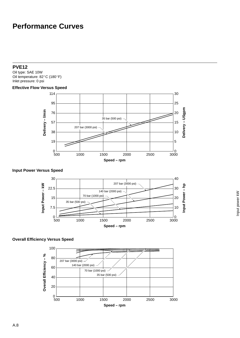# <span id="page-7-0"></span>**Performance Curves**

### **PVE12**

Oil type: SAE 10W Oil temperature: 82°C (180°F) Inlet pressure: 0 psi

# **Effective Flow Versus Speed**



# **Input Power Versus Speed**



### **Overall Efficiency Versus Speed**

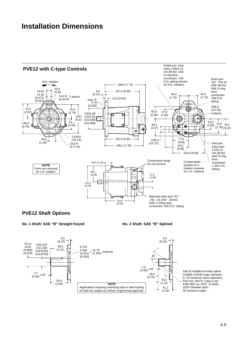# <span id="page-8-0"></span>**Installation Dimensions**



# **PVE12 Shaft Options**

#### **No. 1 Shaft: SAE "B" Straight Keyed**

**No. 2 Shaft: SAE "B" Splined**



SAE B modified involute spline (0.8585–0.8530 major diameter, 0.715 minimum minor diameter). Flat root, side fit. Class 5 per ANSI B92.1a–1976. 13 teeth, 16/32 diameter pitch, 30° pressure angle.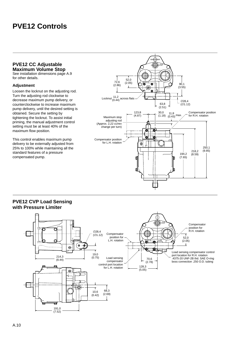# <span id="page-9-0"></span>**PVE12 Controls**

### **PVE12 CC Adjustable Maximum Volume Stop**

See installation dimensions page A.9 for other details.

### **Adjustment**

Loosen the locknut on the adjusting rod. Turn the adjusting rod clockwise to decrease maximum pump delivery, or counterclockwise to increase maximum pump delivery, until the desired setting is obtained. Secure the setting by tightening the locknut. To assist initial priming, the manual adjustment control setting must be at least 40% of the maximum flow position.

This control enables maximum pump delivery to be externally adjusted from 25% to 100% while maintaining all the standard features of a pressure compensated pump.



# **PVE12 CVP Load Sensing with Pressure Limiter**

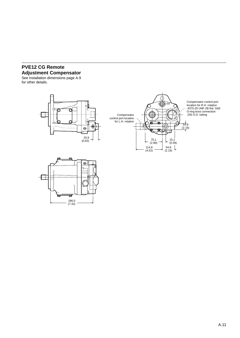# **PVE12 CG Remote Adjustment Compensator**

See installation dimensions page A.9 for other details.



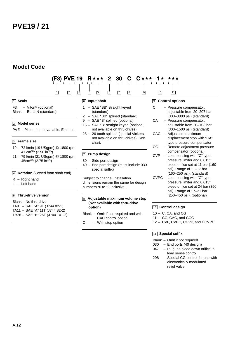# <span id="page-11-0"></span>**Model Code**



TA9 – SAE "A" 9T (J744 82-2) TA11 – SAE "A" 11T (J744 82-2) TB26 – SAE "B" 26T (J744 101-2)

# **(Not available with thru-drive option)**

- Blank Omit if not required and with CAC control option
- C With stop option
- displacement stop with "CA"
- 
- bleed orifice set at 11 bar (160
- bleed orifice set at 24 bar (350

### 10 **Control design**

- $10 C$ , CA, and CG
- 11 CC, CAC, and CCG
- 12 CVP, CVPC, CCVP, and CCVPC

### 11 **Special suffix**

- Blank Omit if not required
- 030 End ports (40 design)
- 047 Plug, no bleed down orifice in load sense control
- 298 Special CG control for use with electronically modulated relief valve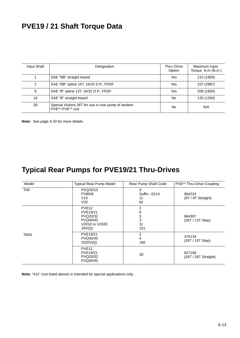# <span id="page-12-0"></span>**PVE19 / 21 Shaft Torque Data**

| Input Shaft | Designation                                                            | Thru-Drive<br>Option | Maximum Input<br>Torque N.m (lb.in.) |
|-------------|------------------------------------------------------------------------|----------------------|--------------------------------------|
|             | SAE "BB" straight keyed                                                | Yes                  | 215 (1900)                           |
| 2           | SAE "BB" spline 15T, 16/32 D.P., FRSF                                  | Yes                  | 337 (2987)                           |
| 9           | SAE "B" spline 13T, 16/32 D.P., FRSF                                   | Yes                  | 208 (1850)                           |
| 16          | SAE "B" straight keyed                                                 | No                   | 135 (1200)                           |
| 28          | Special Vickers 26T for use in rear pump of tandem<br>PVE**-PVE** unit | No                   | N/A                                  |

**Note:** See page A.20 for more details.

# **Typical Rear Pumps for PVE19/21 Thru-Drives**

| Model           | Typical Rear Pump Model                                                           | Rear Pump Shaft Code          | PVE** Thru-Drive Coupling      |
|-----------------|-----------------------------------------------------------------------------------|-------------------------------|--------------------------------|
| TA <sub>9</sub> | PVQ10/13<br><b>PVB5/6</b><br>V10<br>V <sub>20</sub>                               | 3<br>Suffix -S214<br>11<br>62 | 864224<br>(9T / 9T Straight)   |
|                 | PVE <sub>12</sub><br>PVE19/21<br>PVQ20/32<br>PVQ40/45<br>V2010 or V2020<br>20V(Q) | 2<br>9<br>3<br>3<br>11<br>151 | 864307<br>(26T / 13T Step)     |
| <b>TB26</b>     | PVE19/21<br>PVQ40/45<br>2520V(Q)                                                  | 2<br>4<br>166                 | 475134<br>(26T / 15T Step)     |
|                 | PVE <sub>12</sub><br>PVE19/21<br>PVQ20/32<br>PVQ40/45                             | 28                            | 627168<br>(26T / 26T Straight) |

**Note:** "A11" (not listed above) is intended for special applications only.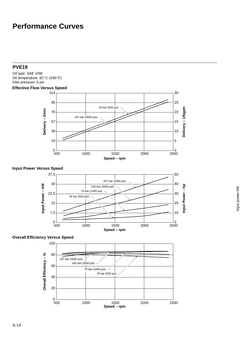# <span id="page-13-0"></span>**Performance Curves**

# **PVE19**

Oil type: SAE 10W Oil temperature:  $82^{\circ}$ C (180 $^{\circ}$ F) Inlet pressure: 0 psi

### **Effective Flow Versus Speed**



### **Input Power Versus Speed**



# **Overall Efficiency Versus Speed**

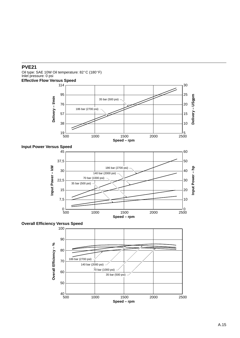# **PVE21**

Oil type: SAE 10W Oil temperature: 82°C (180°F) Inlet pressure: 0 psi **Effective Flow Versus Speed**



### **Input Power Versus Speed**



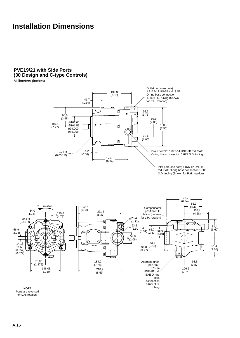# <span id="page-15-0"></span>**Installation Dimensions**

# **PVE19/21 with Side Ports (30 Design and C-type Controls)**

Millimeters (inches)



thd. SAE O-ring boss connection 1.500 O.D. tubing (Shown for R.H. rotation)



for L.H. rotation.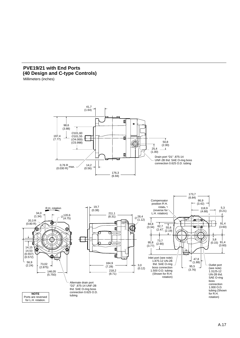# **PVE19/21 with End Ports (40 Design and C-type Controls)**

Millimeters (inches)



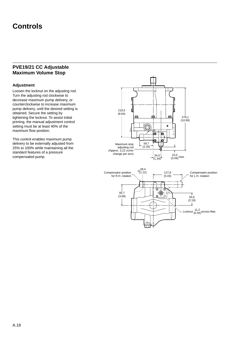# <span id="page-17-0"></span>**Controls**

# **PVE19/21 CC Adjustable Maximum Volume Stop**

### **Adjustment**

Loosen the locknut on the adjusting rod. Turn the adjusting rod clockwise to decrease maximum pump delivery, or counterclockwise to increase maximum pump delivery, until the desired setting is obtained. Secure the setting by tightening the locknut. To assist initial priming, the manual adjustment control setting must be at least 40% of the maximum flow position.

This control enables maximum pump delivery to be externally adjusted from 25% to 100% while maintaining all the standard features of a pressure compensated pump.



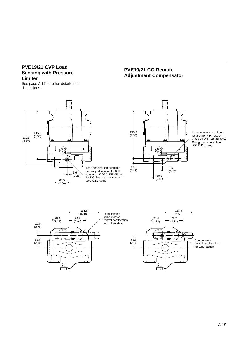# **PVE19/21 CVP Load Sensing with Pressure Limiter**

See page A.16 for other details and dimensions.



# **PVE19/21 CG Remote Adjustment Compensator**



Compensator control port location for R.H. rotation .4375-20 UNF-2B thd. SAE O-ring boss connection .250 O.D. tubing

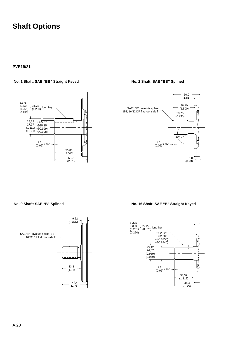# **Shaft Options**

#### **PVE19/21**

#### **No. 1 Shaft: SAE "BB" Straight Keyed No. 2 Shaft: SAE "BB" Splined**

6,375 6,350 (0.251) long key 31,75 (1.250) <sup>x</sup>  $(0.250)$ 4 Ŧ 28,22 27,97 (1.111) ∅25,37 ∅25,35 (1.111) (∅0.999)<br>(1.101) <sub>〈∅0.998)</sub>  $\overline{1}$  $\frac{1.5}{(0.06)}$  x 45° 50,80  $(2.000)$ 58,7 (2.31)



#### **No. 9 Shaft: SAE "B" Splined**



**No. 16 Shaft: SAE "B" Straight Keyed**

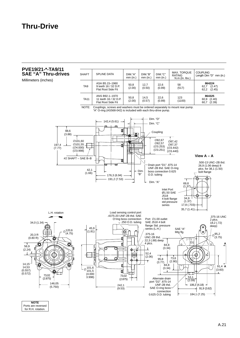# <span id="page-20-0"></span>**Thru-Drive**



A.21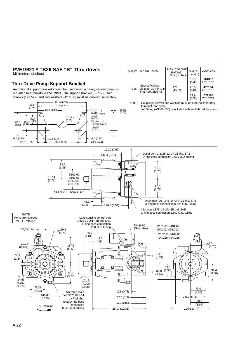<span id="page-21-0"></span>

# **PVE19/21-\*-TB26 SAE "B" Thru-drives**

### A.22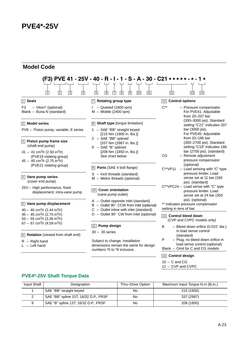# <span id="page-22-0"></span>**Model Code**

| 门<br>$\overline{2}$<br>$\vert 3 \vert$<br>$\vert 4 \vert$                                                                                                                  | (F3)        PVE   41 - 25V - 40 - R - I - 1 - S - A - 30 - C21 *****-*- 1 *<br>$\overline{6}$<br>$\overline{7}$<br>$\boxed{8}$<br>७।<br>$\boxed{10}$<br>$\sqrt{5}$<br>$\boxed{11}$ | $\overline{12}$<br>$\sqrt{13}$<br>$\sqrt{14}$                                                              |  |
|----------------------------------------------------------------------------------------------------------------------------------------------------------------------------|------------------------------------------------------------------------------------------------------------------------------------------------------------------------------------|------------------------------------------------------------------------------------------------------------|--|
| $\boxed{1}$ Seals                                                                                                                                                          | 7 Rotating group type                                                                                                                                                              | <b>Control options</b><br> 12                                                                              |  |
| - Viton <sup>®</sup> (optional)<br>F3<br>Blank - Buna N (standard)                                                                                                         | - Quieted (1800 rpm)<br>$M - M$ obile (2400 rpm)                                                                                                                                   | $C^{**}$<br>- Pressure compensator.<br>For PVE41: Adjustable<br>from 20-207 bar                            |  |
| 2 Model series                                                                                                                                                             | $\boxed{8}$ Shaft type [torque limitation]                                                                                                                                         | (300-3000 psi). Standard<br>setting "C21" indicates 207                                                    |  |
| PVE - Piston pump, variable, E series                                                                                                                                      | 1 - SAE "BB" straight keyed<br>[215 Nm (1900 in. lbs.)]                                                                                                                            | bar (3000 psi).<br>For PVE45: Adjustable                                                                   |  |
| 3 Piston pump frame size<br>(shaft end pump)                                                                                                                               | 2 - SAE "BB" splined<br>[337 Nm (2987 in. lbs.)]<br>9 - SAE "B" splined                                                                                                            | from $20 - 186$ bar<br>(300-2700 psi). Standard<br>setting "C19" indicates 186                             |  |
| 41 – 41 cm <sup>3</sup> /r (2.50 in <sup>3</sup> /r)<br>(PVE19 rotating group)<br>$45 - 45$ cm <sup>3</sup> /r (2.75 in <sup>3</sup> /r)                                   | [208 Nm (1850 in. lbs.)]<br>See chart below                                                                                                                                        | bar (2700 psi). (standard)<br>- Remote adjustment<br>CG<br>pressure compensator                            |  |
| (PVE21 rotating group)                                                                                                                                                     | 9 Ports (SAE 4 bolt flange)                                                                                                                                                        | (optional)<br>- Load sensing with "C" type<br>$C^{**}V$ P11                                                |  |
| $\sqrt{4}$ Vane pump series<br>(cover end pump)                                                                                                                            | $S -$ Inch threads (standard)<br>$M -$ Metric threads (optional)                                                                                                                   | pressure limiter. Load<br>sense set at 11 bar (160<br>psi). (standard)                                     |  |
| 25V - High performance, fixed<br>displacement, intra-vane pump                                                                                                             | 10 Cover orientation<br>(vane pump outlet)                                                                                                                                         | C**VPC24 - Load sense with "C" type<br>pressure limiter. Load<br>sense set at 24 bar (350                  |  |
| $\boxed{5}$ Vane pump displacement                                                                                                                                         | A - Outlet opposite inlet (standard)<br>$B - Outlet 90^\circ$ CCW from inlet (optional)                                                                                            | psi). (optional)<br>** indicates pressure compensator                                                      |  |
| $40 - 40$ cm <sup>3</sup> /r (2.44 in <sup>3</sup> /r)<br>$45 - 45$ cm <sup>3</sup> /r (2.75 in <sup>3</sup> /r)<br>$55 - 55$ cm <sup>3</sup> /r (3.36 in <sup>3</sup> /r) | $C -$ Outlet inline with inlet (standard)<br>$D -$ Outlet 90 $^{\circ}$ CW from inlet (optional)                                                                                   | setting in tens of bar.<br>13 Control bleed down<br>(CVP and CVPC models only)                             |  |
| 67 - 67 cm <sup>3</sup> /r (4.09 in <sup>3</sup> /r)                                                                                                                       | 11 Pump design                                                                                                                                                                     | B<br>- Bleed down orifice (0.015" dia.)                                                                    |  |
| 6 Rotation (viewed from shaft end)                                                                                                                                         | $30 - 30$ series                                                                                                                                                                   | in load sense control<br>(standard)                                                                        |  |
| $R -$ Right hand<br>$L - Left$ hand                                                                                                                                        | Subject to change. Installation<br>dimensions remain the same for design<br>numbers *0 to *9 inclusive.                                                                            | P<br>- Plug, no bleed down orifice in<br>load sense control (optional)<br>Blank - Omit for C and CG models |  |

### 14 **Control design**

 $\overline{\phantom{a}}$ 

- $10 C$  and  $CG$
- 12 CVP and CVPC

# **PVE4\*-25V Shaft Torque Data**

| Input Shaft | Designation                           | Thru-Drive Option | Maximum Input Torque N.m (lb.in.) |
|-------------|---------------------------------------|-------------------|-----------------------------------|
|             | SAE "BB" straight keyed               | No                | 215 (1900)                        |
|             | SAE "BB" spline 15T, 16/32 D.P., FRSF | No                | 337 (2987)                        |
|             | SAE "B" spline 13T, 16/32 D.P., FRSF  | No                | 208 (1850)                        |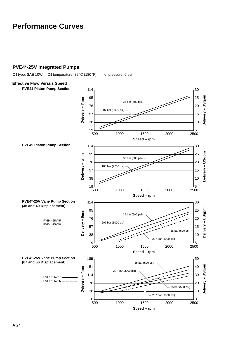# <span id="page-23-0"></span>**Performance Curves**

# **PVE4\*-25V Integrated Pumps**

Oil type: SAE 10W Oil temperature: 82°C (180°F) Inlet pressure: 0 psi

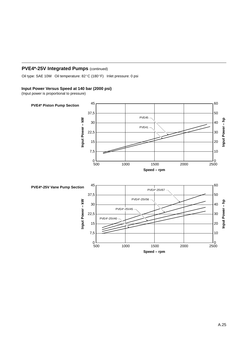# **PVE4\*-25V Integrated Pumps (continued)**

Oil type: SAE 10W Oil temperature: 82°C (180°F) Inlet pressure: 0 psi

### **Input Power Versus Speed at 140 bar (2000 psi)**

(Input power is proportional to pressure)

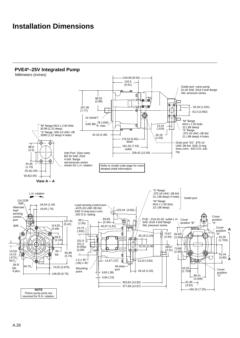# <span id="page-25-0"></span>**Installation Dimensions**

### **PVE4\*–25V Integrated Pump**



reversed for R.H. rotation.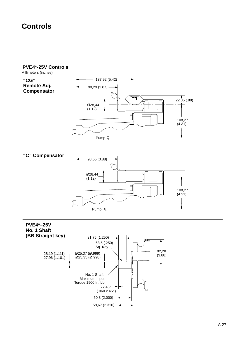# <span id="page-26-0"></span>**Controls**